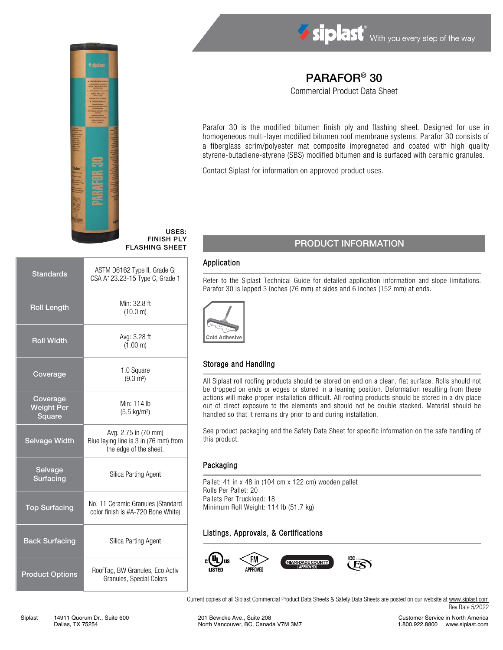



USES: FINISH PLY FLASHING SHEET

| <b>Standards</b>                        | ASTM D6162 Type II, Grade G;<br>CSA A123.23-15 Type C, Grade 1                          |  |  |
|-----------------------------------------|-----------------------------------------------------------------------------------------|--|--|
| <b>Roll Length</b>                      | Min: 32.8 ft<br>(10.0 m)                                                                |  |  |
| <b>Roll Width</b>                       | Avg: 3.28 ft<br>(1.00 m)                                                                |  |  |
| Coverage                                | 1.0 Square<br>$(9.3 \text{ m}^2)$                                                       |  |  |
| Coverage<br><b>Weight Per</b><br>Square | Min: 114 lb<br>$(5.5 \text{ kg/m}^2)$                                                   |  |  |
| <b>Selvage Width</b>                    | Avg. 2.75 in (70 mm)<br>Blue laying line is 3 in (76 mm) from<br>the edge of the sheet. |  |  |
| Selvage<br>Surfacing                    | <b>Silica Parting Agent</b>                                                             |  |  |
| <b>Top Surfacing</b>                    | No. 11 Ceramic Granules (Standard<br>color finish is #A-720 Bone White)                 |  |  |
| <b>Back Surfacing</b>                   | Silica Parting Agent                                                                    |  |  |
| <b>Product Options</b>                  | RoofTag, BW Granules, Eco Activ<br>Granules, Special Colors                             |  |  |

# PARAFOR® 30

Commercial Product Data Sheet

Parafor 30 is the modified bitumen finish ply and flashing sheet. Designed for use in homogeneous multi-layer modified bitumen roof membrane systems, Parafor 30 consists of a fiberglass scrim/polyester mat composite impregnated and coated with high quality styrene-butadiene-styrene (SBS) modified bitumen and is surfaced with ceramic granules.

Contact Siplast for information on approved product uses.

# PRODUCT INFORMATION

### Application

Refer to the Siplast Technical Guide for detailed application information and slope limitations. Parafor 30 is lapped 3 inches (76 mm) at sides and 6 inches (152 mm) at ends.



## Storage and Handling

All Siplast roll roofing products should be stored on end on a clean, flat surface. Rolls should not be dropped on ends or edges or stored in a leaning position. Deformation resulting from these actions will make proper installation difficult. All roofing products should be stored in a dry place out of direct exposure to the elements and should not be double stacked. Material should be handled so that it remains dry prior to and during installation.

See product packaging and the Safety Data Sheet for specific information on the safe handling of this product.

#### Packaging

Pallet: 41 in x 48 in (104 cm x 122 cm) wooden pallet Rolls Per Pallet: 20 Pallets Per Truckload: 18 Minimum Roll Weight: 114 lb (51.7 kg)

## Listings, Approvals, & Certifications



Current copies of all Siplast Commercial Product Data Sheets & Safety Data Sheets are posted on our website at [www.siplast.com](http://www.siplast.com/) Rev Date 5/2022